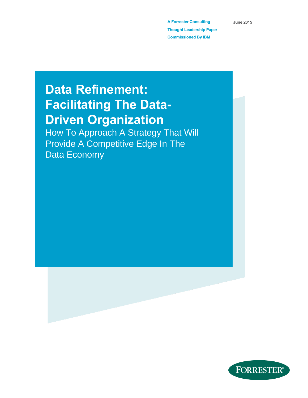**A Forrester Consulting Thought Leadership Paper Commissioned By IBM**

**June 2015**

# **Data Refinement: Facilitating The Data-Driven Organization**

How To Approach A Strategy That Will Provide A Competitive Edge In The Data Economy

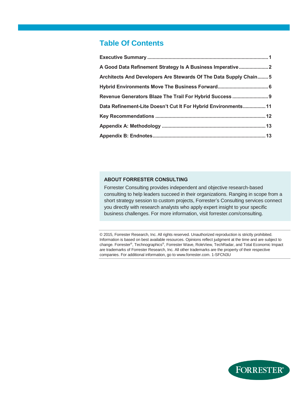# **Table Of Contents**

| Architects And Developers Are Stewards Of The Data Supply Chain 5 |  |
|-------------------------------------------------------------------|--|
|                                                                   |  |
|                                                                   |  |
| Data Refinement-Lite Doesn't Cut It For Hybrid Environments 11    |  |
|                                                                   |  |
|                                                                   |  |
|                                                                   |  |

### **ABOUT FORRESTER CONSULTING**

Forrester Consulting provides independent and objective research-based consulting to help leaders succeed in their organizations. Ranging in scope from a short strategy session to custom projects, Forrester's Consulting services connect you directly with research analysts who apply expert insight to your specific business challenges. For more information, visit forrester.com/consulting.

© 2015, Forrester Research, Inc. All rights reserved. Unauthorized reproduction is strictly prohibited. Information is based on best available resources. Opinions reflect judgment at the time and are subject to change. Forrester®, Technographics®, Forrester Wave, RoleView, TechRadar, and Total Economic Impact are trademarks of Forrester Research, Inc. All other trademarks are the property of their respective companies. For additional information, go to www.forrester.com. 1-SFCN3U

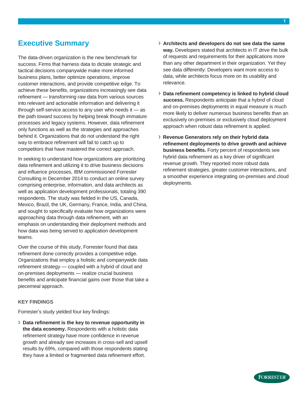# <span id="page-2-0"></span>**Executive Summary**

The data-driven organization is the new benchmark for success. Firms that harness data to dictate strategic and tactical decisions companywide make more informed business plans, better optimize operations, improve customer interactions, and provide competitive edge. To achieve these benefits, organizations increasingly see data refinement — transforming raw data from various sources into relevant and actionable information and delivering it through self-service access to any user who needs it — as the path toward success by helping break though immature processes and legacy systems. However, data refinement only functions as well as the strategies and approaches behind it. Organizations that do not understand the right way to embrace refinement will fail to catch up to competitors that have mastered the correct approach.

In seeking to understand how organizations are prioritizing data refinement and utilizing it to drive business decisions and influence processes, IBM commissioned Forrester Consulting in December 2014 to conduct an online survey comprising enterprise, information, and data architects as well as application development professionals, totaling 390 respondents. The study was fielded in the US, Canada, Mexico, Brazil, the UK, Germany, France, India, and China, and sought to specifically evaluate how organizations were approaching data through data refinement, with an emphasis on understanding their deployment methods and how data was being served to application development teams.

Over the course of this study, Forrester found that data refinement done correctly provides a competitive edge. Organizations that employ a holistic and companywide data refinement strategy — coupled with a hybrid of cloud and on-premises deployments — realize crucial business benefits and anticipate financial gains over those that take a piecemeal approach.

#### **KEY FINDINGS**

Forrester's study yielded four key findings:

**› Data refinement is the key to revenue opportunity in the data economy.** Respondents with a holistic data refinement strategy have more confidence in revenue growth and already see increases in cross-sell and upsell results by 69%, compared with those respondents stating they have a limited or fragmented data refinement effort.

- **› Architects and developers do not see data the same way.** Developers stated that architects in IT drive the bulk of requests and requirements for their applications more than any other department in their organization. Yet they see data differently: Developers want more access to data, while architects focus more on its usability and relevance.
- **› Data refinement competency is linked to hybrid cloud success.** Respondents anticipate that a hybrid of cloud and on-premises deployments in equal measure is much more likely to deliver numerous business benefits than an exclusively on-premises or exclusively cloud deployment approach when robust data refinement is applied.
- **› Revenue Generators rely on their hybrid data refinement deployments to drive growth and achieve business benefits.** Forty percent of respondents see hybrid data refinement as a key driver of significant revenue growth. They reported more robust data refinement strategies, greater customer interactions, and a smoother experience integrating on-premises and cloud deployments.

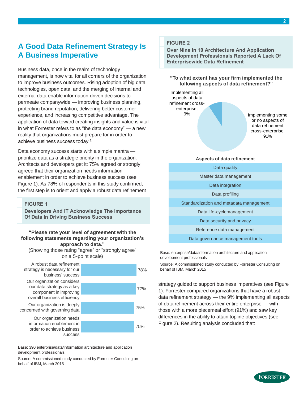# <span id="page-3-0"></span>**A Good Data Refinement Strategy Is A Business Imperative**

Business data, once in the realm of technology management, is now vital for all corners of the organization to improve business outcomes. Rising adoption of big data technologies, open data, and the merging of internal and external data enable information-driven decisions to permeate companywide — improving business planning, protecting brand reputation, delivering better customer experience, and increasing competitive advantage. The application of data toward creating insights and value is vital in what Forrester refers to as "the data economy" — a new reality that organizations must prepare for in order to achieve business success today.<sup>1</sup>

Data economy success starts with a simple mantra prioritize data as a strategic priority in the organization. Architects and developers get it; 75% agreed or strongly agreed that their organization needs information enablement in order to achieve business success (see Figure 1). As 78% of respondents in this study confirmed, the first step is to orient and apply a robust data refinement

#### **FIGURE 1**

**Developers And IT Acknowledge The Importance Of Data In Driving Business Success**

# **following statements regarding your organization's approach to data."**

(Showing those rating "agree" or "strongly agree" on a 5-point scale)



Base: 390 enterprise/data/information architecture and application development professionals

Source: A commissioned study conducted by Forrester Consulting on

### **FIGURE 2**

**Over Nine In 10 Architecture And Application Development Professionals Reported A Lack Of Enterprisewide Data Refinement**

**"To what extent has your firm implemented the following aspects of data refinement?"**



#### **Aspects of data refinement**

Data quality Master data management Data integration Data profiling Standardization and metadata management Data life-cyclemanagement Data security and privacy Reference data management

Data governance management tools

Base: enterprise/data/information architecture and application development professionals

Source: A commissioned study conducted by Forrester Consulting on behalf of IBM, March 2015

strategy guided to support business imperatives (see Figure 1). Forrester compared organizations that have a robust data refinement strategy — the 9% implementing all aspects of data refinement across their entire enterprise — with those with a more piecemeal effort (91%) and saw key differences in the ability to attain topline objectives (see Figure 2). Resulting analysis concluded that:

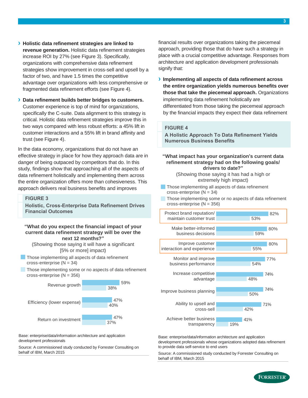**› Holistic data refinement strategies are linked to revenue generation.** Holistic data refinement strategies increase ROI by 27% (see Figure 3). Specifically, organizations with comprehensive data refinement strategies show improvement in cross-sell and upsell by a factor of two, and have 1.5 times the competitive advantage over organizations with less comprehensive or fragmented data refinement efforts (see Figure 4).

**› Data refinement builds better bridges to customers.**  Customer experience is top of mind for organizations, specifically the C-suite. Data alignment to this strategy is critical. Holistic data refinement strategies improve this in two ways compared with less robust efforts: a 45% lift in customer interactions and a 55% lift in brand affinity and trust (see Figure 4).

In the data economy, organizations that do not have an effective strategy in place for how they approach data are in danger of being outpaced by competitors that do. In this study, findings show that approaching all of the aspects of data refinement holistically and implementing them across the entire organization offers more than cohesiveness. This approach delivers real business benefits and improves

#### **FIGURE 3**

**Holistic, Cross-Enterprise Data Refinement Drives Financial Outcomes**

#### **"What do you expect the financial impact of your current data refinement strategy will be over the next 12 months?"**

(Showing those saying it will have a significant [5% or more] impact)

- **Those implementing all aspects of data refinement** cross-enterprise (N = 34)
- Those implementing some or no aspects of data refinement cross-enterprise (N = 356)



Base: enterprise/data/information architecture and application development professionals

Source: A commissioned study conducted by Forrester Consulting on behalf of IBM, March 2015

financial results over organizations taking the piecemeal approach, providing those that do have such a strategy in place with a crucial competitive advantage. Responses from architecture and application development professionals signify that:

**› Implementing all aspects of data refinement across the entire organization yields numerous benefits over those that take the piecemeal approach.** Organizations implementing data refinement holistically are differentiated from those taking the piecemeal approach by the financial impacts they expect their data refinement

#### **FIGURE 4**

**A Holistic Approach To Data Refinement Yields Numerous Business Benefits** 

**"What impact has your organization's current data refinement strategy had on the following goals/ drivers to date?"**

> (Showing those saying it has had a high or extremely high impact)

- Those implementing all aspects of data refinement cross-enterprise  $(N = 34)$
- Those implementing some or no aspects of data refinement cross-enterprise (N = 356)

| Protect brand reputation/  | 82%        |
|----------------------------|------------|
| maintain customer trust    | 53%        |
| Make better-informed       | 80%        |
| business decisions         | 59%        |
| Improve customer           | 80%        |
| interaction and experience | 55%        |
| Monitor and improve        | 77%        |
| business performance       | 54%        |
| Increase competitive       | 74%        |
| advantage                  | 48%        |
| Improve business planning  | 74%<br>50% |
| Ability to upsell and      | 71%        |
| cross-sell                 | 42%        |
| Achieve better business    | 41%        |
| transparency               | 19%        |

Base: enterprise/data/information architecture and application development professionals whose organizations adopted data refinement to provide data self-service to end users

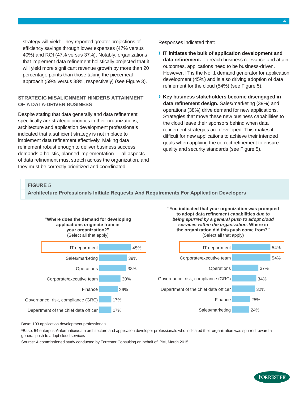strategy will yield: They reported greater projections of efficiency savings through lower expenses (47% versus 40%) and ROI (47% versus 37%). Notably, organizations that implement data refinement holistically projected that it will yield more significant revenue growth by more than 20 percentage points than those taking the piecemeal approach (59% versus 38%, respectively) (see Figure 3).

### **STRATEGIC MISALIGNMENT HINDERS ATTAINMENT OF A DATA-DRIVEN BUSINESS**

Despite stating that data generally and data refinement specifically are strategic priorities in their organizations, architecture and application development professionals indicated that a sufficient strategy is not in place to implement data refinement effectively. Making data refinement robust enough to deliver business success demands a holistic, planned implementation — all aspects of data refinement must stretch across the organization, and they must be correctly prioritized and coordinated.

Responses indicated that:

- **› IT initiates the bulk of application development and data refinement.** To reach business relevance and attain outcomes, applications need to be business-driven. However, IT is the No. 1 demand generator for application development (45%) and is also driving adoption of data refinement for the cloud (54%) (see Figure 5).
- **› Key business stakeholders become disengaged in data refinement design.** Sales/marketing (39%) and operations (38%) drive demand for new applications. Strategies that move these new business capabilities to the cloud leave their sponsors behind when data refinement strategies are developed. This makes it difficult for new applications to achieve their intended goals when applying the correct refinement to ensure quality and security standards (see Figure 5).

### **FIGURE 5**

**Architecture Professionals Initiate Requests And Requirements For Application Developers** 



**"You indicated that your organization was prompted to adopt data refin ement ca pabilities** *due to being spurred by a general push to adopt cloud services within the organization.* **Where in the organization did this push co me from?"** (Select all that apply)



Base: 103 application development professionals

\*Base: 54 enterprise/information/data architecture and application developer professionals who indicated their organization was spurred toward a general push to adopt cloud services

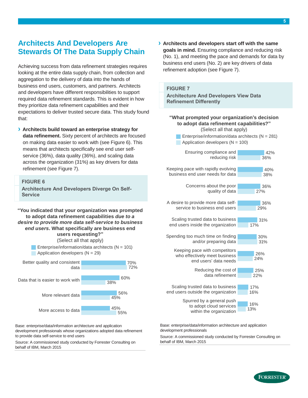# <span id="page-6-0"></span>**Architects And Developers Are Stewards Of The Data Supply Chain**

Achieving success from data refinement strategies requires looking at the entire data supply chain, from collection and aggregation to the delivery of data into the hands of business end users, customers, and partners. Architects and developers have different responsibilities to support required data refinement standards. This is evident in how they prioritize data refinement capabilities and their expectations to deliver trusted secure data. This study found that:

**› Architects build toward an enterprise strategy for data refinement.** Sixty percent of architects are focused on making data easier to work with (see Figure 6). This means that architects specifically see end user selfservice (36%), data quality (36%), and scaling data across the organization (31%) as key drivers for data refinement (see Figure 7).



Base: enterprise/data/information architecture and application development professionals whose organizations adopted data refinement

55%

Source: A commissioned study conducted by Forrester Consulting on behalf of IBM, March 2015

to provide data self-service to end users

More access to data

**› Architects and developers start off with the same goals in mind.** Ensuring compliance and reducing risk (No. 1), and meeting the pace and demands for data by business end users (No. 2) are key drivers of data refinement adoption (see Figure 7).

### **FIGURE 7**

**Architecture And Developers View Data Refinement Differently**

Enterprise/information/data architects  $(N = 281)$ Application developers  $(N = 100)$ **"What prompted your organization's decision to adopt data refinement capabilities?"** (Select all that apply)

13% 16% 22% 24% 31% 17% 29% 27% 38% 36% 16% 17% 25% 26% 30% 31% 36% 36% 40% 42% Spurred by a general push to adopt cloud services within the organization Scaling trusted data to business end users outside the organization Reducing the cost of data refinement Keeping pace with competitors who effectively meet business end users' data needs Spending too much time on finding and/or preparing data Scaling trusted data to business end users inside the organization A desire to provide more data selfservice to business end users Concerns about the poor quality of data Keeping pace with rapidly evolving business end user needs for data Ensuring compliance and reducing risk

Base: enterprise/data/information architecture and application development professionals

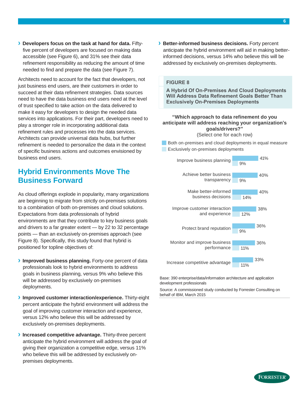**› Developers focus on the task at hand for data.** Fiftyfive percent of developers are focused on making data accessible (see Figure 6), and 31% see their data refinement responsibility as reducing the amount of time needed to find and prepare the data (see Figure 7).

Architects need to account for the fact that developers, not just business end users, are their customers in order to succeed at their data refinement strategies. Data sources need to have the data business end users need at the level of trust specified to take action on the data delivered to make it easy for developers to design the needed data services into applications. For their part, developers need to play a stronger role in incorporating additional data refinement rules and processes into the data services. Architects can provide universal data hubs, but further refinement is needed to personalize the data in the context of specific business actions and outcomes envisioned by business end users.

# <span id="page-7-0"></span>**Hybrid Environments Move The Business Forward**

As cloud offerings explode in popularity, many organizations are beginning to migrate from strictly on-premises solutions to a combination of both on-premises and cloud solutions. Expectations from data professionals of hybrid environments are that they contribute to key business goals and drivers to a far greater extent — by 22 to 32 percentage points — than an exclusively on-premises approach (see Figure 8). Specifically, this study found that hybrid is positioned for topline objectives of:

- **› Improved business planning.** Forty-one percent of data professionals look to hybrid environments to address goals in business planning, versus 9% who believe this will be addressed by exclusively on-premises deployments.
- **› Improved customer interaction/experience.** Thirty-eight percent anticipate the hybrid environment will address the goal of improving customer interaction and experience, versus 12% who believe this will be addressed by exclusively on-premises deployments.
- **› Increased competitive advantage.** Thirty-three percent anticipate the hybrid environment will address the goal of giving their organization a competitive edge, versus 11% who believe this will be addressed by exclusively onpremises deployments.

**› Better-informed business decisions.** Forty percent anticipate the hybrid environment will aid in making betterinformed decisions, versus 14% who believe this will be addressed by exclusively on-premises deployments.

### **FIGURE 8**

**A Hybrid Of On-Premises And Cloud Deployments Will Address Data Refinement Goals Better Than Exclusively On-Premises Deployments**

## **"Which approach to data refinement do you anticipate will address reaching your organization's goals/drivers?"**

(Select one for each row)

Both on-premises and cloud deployments in equal measure Exclusively on-premises deployments



Base: 390 enterprise/data/information architecture and application development professionals

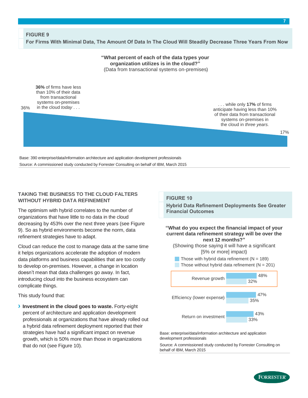### **FIGURE 9 For Firms With Minimal Data, The Amount Of Data In The Cloud Will Steadily Decrease Three Years From Now**

**"What percent of each of the data types your organization utilizes is in the cloud?"** (Data from transactional systems on-premises)

**36%** of firms have less than 10% of their data from transactional systems on-premises in the cloud *today* . . .

36%

. . . while only **17%** of firms anticipate having less than 10% of their data from transactional systems on-premises in the cloud in *three years.*

Base: 390 enterprise/data/information architecture and application development professionals Source: A commissioned study conducted by Forrester Consulting on behalf of IBM, March 2015

### **TAKING THE BUSINESS TO THE CLOUD FALTERS WITHOUT HYBRID DATA REFINEMENT**

The optimism with hybrid correlates to the number of organizations that have little to no data in the cloud decreasing by 453% over the next three years (see Figure 9). So as hybrid environments become the norm, data refinement strategies have to adapt.

Cloud can reduce the cost to manage data at the same time it helps organizations accelerate the adoption of modern data platforms and business capabilities that are too costly to develop on-premises. However, a change in location doesn't mean that data challenges go away. In fact, introducing cloud into the business ecosystem can complicate things.

This study found that:

**› Investment in the cloud goes to waste.** Forty-eight percent of architecture and application development professionals at organizations that have already rolled out a hybrid data refinement deployment reported that their strategies have had a significant impact on revenue growth, which is 50% more than those in organizations that do not (see Figure 10).

#### **FIGURE 10**

**Hybrid Data Refinement Deployments See Greater Financial Outcomes** 

#### **"What do you expect the financial impact of your current data refinement strategy will be over the next 12 months?"**

(Showing those saying it will have a significant [5% or more] impact)

Those with hybrid data refinement  $(N = 189)$ Those without hybrid data refinement  $(N = 201)$ 



Base: enterprise/data/information architecture and application development professionals

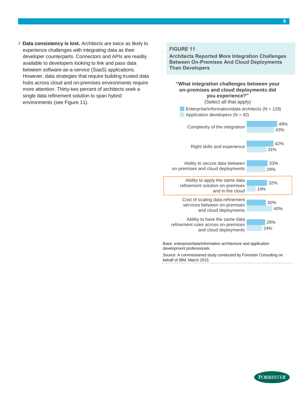**› Data consistency is lost.** Architects are twice as likely to experience challenges with integrating data as their developer counterparts. Connectors and APIs are readily available to developers looking to link and pass data between software-as-a-service (SaaS) applications. However, data strategies that require building trusted data hubs across cloud and on-premises environments require more attention. Thirty-two percent of architects seek a single data refinement solution to span hybrid environments (see Figure 11).

### **FIGURE 11**

**Architects Reported More Integration Challenges Between On-Premises And Cloud Deployments Than Developers** 



Base: enterprise/data/information architecture and application development professionals

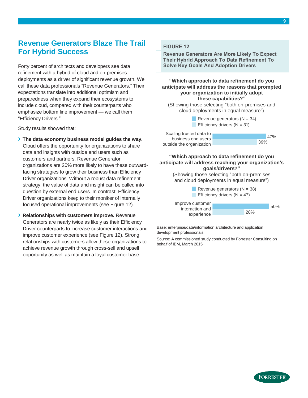# <span id="page-10-0"></span>**Revenue Generators Blaze The Trail For Hybrid Success**

Forty percent of architects and developers see data refinement with a hybrid of cloud and on-premises deployments as a driver of significant revenue growth. We call these data professionals "Revenue Generators." Their expectations translate into additional optimism and preparedness when they expand their ecosystems to include cloud, compared with their counterparts who emphasize bottom line improvement — we call them "Efficiency Drivers."

Study results showed that:

- **› The data economy business model guides the way.** Cloud offers the opportunity for organizations to share data and insights with outside end users such as customers and partners. Revenue Generator organizations are 20% more likely to have these outwardfacing strategies to grow their business than Efficiency Driver organizations. Without a robust data refinement strategy, the value of data and insight can be called into question by external end users. In contrast, Efficiency Driver organizations keep to their moniker of internally focused operational improvements (see Figure 12).
- **› Relationships with customers improve.** Revenue Generators are nearly twice as likely as their Efficiency Driver counterparts to increase customer interactions and improve customer experience (see Figure 12). Strong relationships with customers allow these organizations to achieve revenue growth through cross-sell and upsell opportunity as well as maintain a loyal customer base.

## **FIGURE 12**

**Revenue Generators Are More Likely To Expect Their Hybrid Approach To Data Refinement To Solve Key Goals And Adoption Drivers** 

**"Which approach to data refinement do you anticipate will address the reasons that prompted your organization to initially adopt these capabilities?"**

(Showing those selecting "both on-premises and cloud deployments in equal measure")

> Revenue generators  $(N = 34)$ **Efficiency drivers (** $N = 31$ **)**

Scaling trusted data to business end users outside the organization



**"Which approach to data refinement do you anticipate will address reaching your organization's goals/drivers?"**

> (Showing those selecting "both on-premises and cloud deployments in equal measure")

Revenue generators  $(N = 38)$ **Efficiency drivers (** $N = 47$ **)** 28% 50% Improve customer interaction and experience

Base: enterprise/data/information architecture and application development professionals

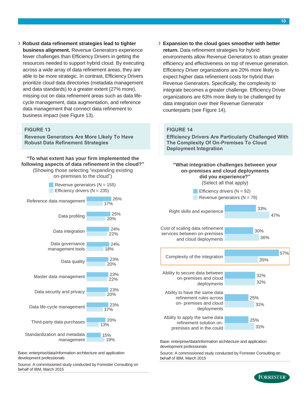**› Robust data refinement strategies lead to tighter business alignment.** Revenue Generators experience fewer challenges than Efficiency Drivers in getting the resources needed to support hybrid cloud. By executing across a wide array of data refinement areas, they are able to be more strategic. In contrast, Efficiency Drivers prioritize cloud data directories (metadata management and data standards) to a greater extent (27% more), missing out on data refinement areas such as data lifecycle management, data augmentation, and reference data management that connect data refinement to business impact (see Figure 13).

### **FIGURE 13**

**Revenue Generators Are More Likely To Have Robust Data Refinement Strategies** 

**"To what extent has your firm implemented the following aspects of data refinement in the cloud?"** (Showing those selecting "expanding existing on-premises to the cloud")

Revenue generators  $(N = 155)$ Efficiency drivers  $(N = 235)$ 19% 13% 17% 20% 22% 20% 18% 22% 20% 17% 15% 20% 23% 23% 23% 23% 24% 24% 25% 26% Standardization and metadata management Third-party data purchases Data life-cycle management Data security and privacy Master data management Data quality Data governance management tools Data integration Data profiling Reference data management

Base: enterprise/data/information architecture and application development professionals

Source: A commissioned study conducted by Forrester Consulting on behalf of IBM, March 2015

**› Expansion to the cloud goes smoother with better return.** Data refinement strategies for hybrid environments allow Revenue Generators to attain greater efficiency and effectiveness on top of revenue generation. Efficiency Driver organizations are 20% more likely to

expect higher data refinement costs for hybrid than Revenue Generators. Specifically, the complexity to integrate becomes a greater challenge. Efficiency Driver organizations are 63% more likely to be challenged by data integration over their Revenue Generator counterparts (see Figure 14).

### **FIGURE 14**

**Efficiency Drivers Are Particularly Challenged With The Complexity Of On-Premises To Cloud Deployment Integration** 



Base: enterprise/data/information architecture and application development professionals

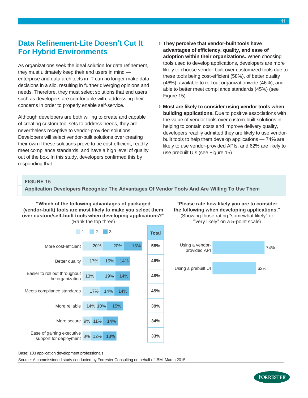# <span id="page-12-0"></span>**Data Refinement-Lite Doesn't Cut It For Hybrid Environments**

As organizations seek the ideal solution for data refinement, they must ultimately keep their end users in mind enterprise and data architects in IT can no longer make data decisions in a silo, resulting in further diverging opinions and needs. Therefore, they must select solutions that end users such as developers are comfortable with, addressing their concerns in order to properly enable self-service.

Although developers are both willing to create and capable of creating custom tool sets to address needs, they are nevertheless receptive to vendor-provided solutions. Developers will select vendor-built solutions over creating their own if these solutions prove to be cost-efficient, readily meet compliance standards, and have a high level of quality out of the box. In this study, developers confirmed this by responding that:

- **› They perceive that vendor-built tools have advantages of efficiency, quality, and ease of adoption within their organizations.** When choosing tools used to develop applications, developers are more likely to choose vendor-built over customized tools due to these tools being cost-efficient (58%), of better quality (46%), available to roll out organizationwide (46%), and able to better meet compliance standards (45%) (see Figure 15).
- **› Most are likely to consider using vendor tools when building applications.** Due to positive associations with the value of vendor tools over custom-built solutions in helping to contain costs and improve delivery quality, developers readily admitted they are likely to use vendorbuilt tools to help them develop applications — 74% are likely to use vendor-provided APIs, and 62% are likely to use prebuilt UIs (see Figure 15).

#### **FIGURE 15**

**Application Developers Recognize The Advantages Of Vendor Tools And Are Willing To Use Them**

**"Which of the following advantages of packaged (vendor-built) tools are most likely to make you select them over custom/self-built tools when developing applications?"** (Rank the top three)



**"Please rate how likely you are to consider the following when developing applications."** (Showing those rating "somewhat likely" or

'"very likely" on a 5-point scale)



Base: 103 application development professionals

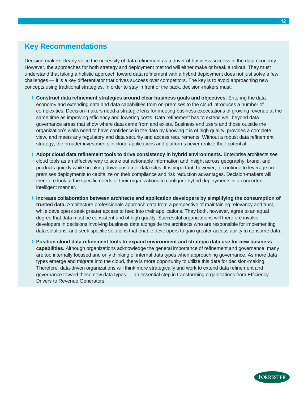# <span id="page-13-0"></span>**Key Recommendations**

Decision-makers clearly voice the necessity of data refinement as a driver of business success in the data economy. However, the approaches for both strategy and deployment method will either make or break a rollout. They must understand that taking a holistic approach toward data refinement with a hybrid deployment does not just solve a few challenges — it is a key differentiator that drives success over competitors. The key is to avoid approaching new concepts using traditional strategies. In order to stay in front of the pack, decision-makers must:

- **› Construct data refinement strategies around clear business goals and objectives.** Entering the data economy and extending data and data capabilities from on-premises to the cloud introduces a number of complexities. Decision-makers need a strategic lens for meeting business expectations of growing revenue at the same time as improving efficiency and lowering costs. Data refinement has to extend well beyond data governance areas that show where data came from and exists. Business end users and those outside the organization's walls need to have confidence in the data by knowing it is of high quality, provides a complete view, and meets any regulatory and data security and access requirements. Without a robust data refinement strategy, the broader investments in cloud applications and platforms never realize their potential.
- **› Adopt cloud data refinement tools to drive consistency in hybrid environments.** Enterprise architects see cloud tools as an effective way to scale out actionable information and insight across geography, brand, and products quickly while breaking down customer data silos. It is important, however, to continue to leverage onpremises deployments to capitalize on their compliance and risk reduction advantages. Decision-makers will therefore look at the specific needs of their organizations to configure hybrid deployments in a concerted, intelligent manner.
- **› Increase collaboration between architects and application developers by simplifying the consumption of trusted data.** Architecture professionals approach data from a perspective of maintaining relevancy and trust, while developers seek greater access to feed into their applications. They both, however, agree to an equal degree that data must be consistent and of high quality. Successful organizations will therefore involve developers in decisions involving business data alongside the architects who are responsible for implementing data solutions, and seek specific solutions that enable developers to gain greater access ability to consume data.
- **› Position cloud data refinement tools to expand environment and strategic data use for new business capabilities.** Although organizations acknowledge the general importance of refinement and governance, many are too internally focused and only thinking of internal data types when approaching governance. As more data types emerge and migrate into the cloud, there is more opportunity to utilize this data for decision-making. Therefore, data-driven organizations will think more strategically and work to extend data refinement and governance toward these new data types — an essential step in transforming organizations from Efficiency Drivers to Revenue Generators.